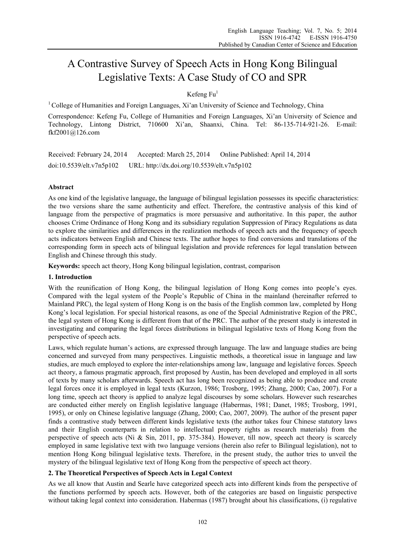# A Contrastive Survey of Speech Acts in Hong Kong Bilingual Legislative Texts: A Case Study of CO and SPR

# Kefeng  $Fu<sup>1</sup>$

<sup>1</sup> College of Humanities and Foreign Languages, Xi'an University of Science and Technology, China

Correspondence: Kefeng Fu, College of Humanities and Foreign Languages, Xi'an University of Science and Technology, Lintong District, 710600 Xi'an, Shaanxi, China. Tel: 86-135-714-921-26. E-mail: fkf2001@126.com

Received: February 24, 2014 Accepted: March 25, 2014 Online Published: April 14, 2014 doi:10.5539/elt.v7n5p102 URL: http://dx.doi.org/10.5539/elt.v7n5p102

# **Abstract**

As one kind of the legislative language, the language of bilingual legislation possesses its specific characteristics: the two versions share the same authenticity and effect. Therefore, the contrastive analysis of this kind of language from the perspective of pragmatics is more persuasive and authoritative. In this paper, the author chooses Crime Ordinance of Hong Kong and its subsidiary regulation Suppression of Piracy Regulations as data to explore the similarities and differences in the realization methods of speech acts and the frequency of speech acts indicators between English and Chinese texts. The author hopes to find conversions and translations of the corresponding form in speech acts of bilingual legislation and provide references for legal translation between English and Chinese through this study.

**Keywords:** speech act theory, Hong Kong bilingual legislation, contrast, comparison

# **1. Introduction**

With the reunification of Hong Kong, the bilingual legislation of Hong Kong comes into people's eyes. Compared with the legal system of the People's Republic of China in the mainland (hereinafter referred to Mainland PRC), the legal system of Hong Kong is on the basis of the English common law, completed by Hong Kong's local legislation. For special historical reasons, as one of the Special Administrative Region of the PRC, the legal system of Hong Kong is different from that of the PRC. The author of the present study is interested in investigating and comparing the legal forces distributions in bilingual legislative texts of Hong Kong from the perspective of speech acts.

Laws, which regulate human's actions, are expressed through language. The law and language studies are being concerned and surveyed from many perspectives. Linguistic methods, a theoretical issue in language and law studies, are much employed to explore the inter-relationships among law, language and legislative forces. Speech act theory, a famous pragmatic approach, first proposed by Austin, has been developed and employed in all sorts of texts by many scholars afterwards. Speech act has long been recognized as being able to produce and create legal forces once it is employed in legal texts (Kurzon, 1986; Trosborg, 1995; Zhang, 2000; Cao, 2007). For a long time, speech act theory is applied to analyze legal discourses by some scholars. However such researches are conducted either merely on English legislative language (Habermas, 1981; Danet, 1985; Trosborg, 1991, 1995), or only on Chinese legislative language (Zhang, 2000; Cao, 2007, 2009). The author of the present paper finds a contrastive study between different kinds legislative texts (the author takes four Chinese statutory laws and their English counterparts in relation to intellectual property rights as research materials) from the perspective of speech acts (Ni & Sin, 2011, pp. 375-384). However, till now, speech act theory is scarcely employed in same legislative text with two language versions (herein also refer to Bilingual legislation), not to mention Hong Kong bilingual legislative texts. Therefore, in the present study, the author tries to unveil the mystery of the bilingual legislative text of Hong Kong from the perspective of speech act theory.

# **2. The Theoretical Perspectives of Speech Acts in Legal Context**

As we all know that Austin and Searle have categorized speech acts into different kinds from the perspective of the functions performed by speech acts. However, both of the categories are based on linguistic perspective without taking legal context into consideration. Habermas (1987) brought about his classifications, (i) regulative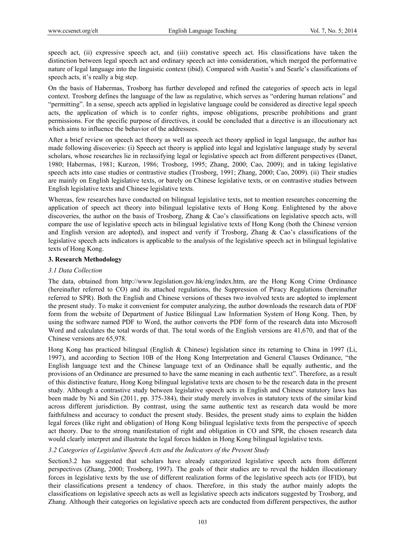speech act, (ii) expressive speech act, and (iii) constative speech act. His classifications have taken the distinction between legal speech act and ordinary speech act into consideration, which merged the performative nature of legal language into the linguistic context (ibid). Compared with Austin's and Searle's classifications of speech acts, it's really a big step.

On the basis of Habermas, Trosborg has further developed and refined the categories of speech acts in legal context. Trosborg defines the language of the law as regulative, which serves as "ordering human relations" and "permitting". In a sense, speech acts applied in legislative language could be considered as directive legal speech acts, the application of which is to confer rights, impose obligations, prescribe prohibitions and grant permissions. For the specific purpose of directives, it could be concluded that a directive is an illocutionary act which aims to influence the behavior of the addressees.

After a brief review on speech act theory as well as speech act theory applied in legal language, the author has made following discoveries: (i) Speech act theory is applied into legal and legislative language study by several scholars, whose researches lie in reclassifying legal or legislative speech act from different perspectives (Danet, 1980; Habermas, 1981; Kurzon, 1986; Trosborg, 1995; Zhang, 2000; Cao, 2009); and in taking legislative speech acts into case studies or contrastive studies (Trosborg, 1991; Zhang, 2000; Cao, 2009). (ii) Their studies are mainly on English legislative texts, or barely on Chinese legislative texts, or on contrastive studies between English legislative texts and Chinese legislative texts.

Whereas, few researches have conducted on bilingual legislative texts, not to mention researches concerning the application of speech act theory into bilingual legislative texts of Hong Kong. Enlightened by the above discoveries, the author on the basis of Trosborg, Zhang & Cao's classifications on legislative speech acts, will compare the use of legislative speech acts in bilingual legislative texts of Hong Kong (both the Chinese version and English version are adopted), and inspect and verify if Trosborg, Zhang & Cao's classifications of the legislative speech acts indicators is applicable to the analysis of the legislative speech act in bilingual legislative texts of Hong Kong.

#### **3. Research Methodology**

#### *3.1 Data Collection*

The data, obtained from http://www.legislation.gov.hk/eng/index.htm, are the Hong Kong Crime Ordinance (hereinafter referred to CO) and its attached regulations, the Suppression of Piracy Regulations (hereinafter referred to SPR). Both the English and Chinese versions of theses two involved texts are adopted to implement the present study. To make it convenient for computer analyzing, the author downloads the research data of PDF form from the website of Department of Justice Bilingual Law Information System of Hong Kong. Then, by using the software named PDF to Word, the author converts the PDF form of the research data into Microsoft Word and calculates the total words of that. The total words of the English versions are 41,670, and that of the Chinese versions are 65,978.

Hong Kong has practiced bilingual (English & Chinese) legislation since its returning to China in 1997 (Li, 1997), and according to Section 10B of the Hong Kong Interpretation and General Clauses Ordinance, "the English language text and the Chinese language text of an Ordinance shall be equally authentic, and the provisions of an Ordinance are presumed to have the same meaning in each authentic text". Therefore, as a result of this distinctive feature, Hong Kong bilingual legislative texts are chosen to be the research data in the present study. Although a contrastive study between legislative speech acts in English and Chinese statutory laws has been made by Ni and Sin (2011, pp. 375-384), their study merely involves in statutory texts of the similar kind across different jurisdiction. By contrast, using the same authentic text as research data would be more faithfulness and accuracy to conduct the present study. Besides, the present study aims to explain the hidden legal forces (like right and obligation) of Hong Kong bilingual legislative texts from the perspective of speech act theory. Due to the strong manifestation of right and obligation in CO and SPR, the chosen research data would clearly interpret and illustrate the legal forces hidden in Hong Kong bilingual legislative texts.

# *3.2 Categories of Legislative Speech Acts and the Indicators of the Present Study*

Section3.2 has suggested that scholars have already categorized legislative speech acts from different perspectives (Zhang, 2000; Trosborg, 1997). The goals of their studies are to reveal the hidden illocutionary forces in legislative texts by the use of different realization forms of the legislative speech acts (or IFID), but their classifications present a tendency of chaos. Therefore, in this study the author mainly adopts the classifications on legislative speech acts as well as legislative speech acts indicators suggested by Trosborg, and Zhang. Although their categories on legislative speech acts are conducted from different perspectives, the author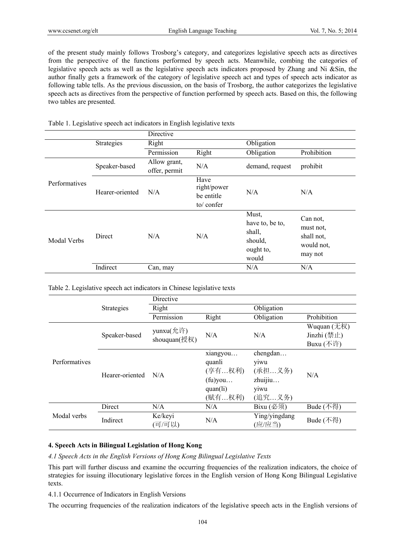of the present study mainly follows Trosborg's category, and categorizes legislative speech acts as directives from the perspective of the functions performed by speech acts. Meanwhile, combing the categories of legislative speech acts as well as the legislative speech acts indicators proposed by Zhang and Ni &Sin, the author finally gets a framework of the category of legislative speech act and types of speech acts indicator as following table tells. As the previous discussion, on the basis of Trosborg, the author categorizes the legislative speech acts as directives from the perspective of function performed by speech acts. Based on this, the following two tables are presented.

|                    |                 | Directive                     |                                                          |                                                                     |                                                              |
|--------------------|-----------------|-------------------------------|----------------------------------------------------------|---------------------------------------------------------------------|--------------------------------------------------------------|
|                    | Strategies      | Right                         |                                                          | Obligation                                                          |                                                              |
|                    |                 | Permission                    | Right                                                    | Obligation                                                          | Prohibition                                                  |
| Performatives      | Speaker-based   | Allow grant,<br>offer, permit | N/A                                                      | demand, request                                                     | prohibit                                                     |
|                    | Hearer-oriented | N/A                           | Have<br>right/power<br>be entitle<br>to/ $\text{confer}$ | N/A                                                                 | N/A                                                          |
| <b>Modal Verbs</b> | Direct          | N/A                           | N/A                                                      | Must,<br>have to, be to,<br>shall,<br>should,<br>ought to,<br>would | Can not,<br>must not,<br>shall not,<br>would not,<br>may not |
|                    | Indirect        | Can, may                      |                                                          | N/A                                                                 | N/A                                                          |

Table 1. Legislative speech act indicators in English legislative texts

|  |  | Table 2. Legislative speech act indicators in Chinese legislative texts |
|--|--|-------------------------------------------------------------------------|
|  |  |                                                                         |

|               |                               | Directive                 |                                                                  |                                                         |                                               |  |  |
|---------------|-------------------------------|---------------------------|------------------------------------------------------------------|---------------------------------------------------------|-----------------------------------------------|--|--|
|               | <b>Strategies</b>             | Right                     |                                                                  | Obligation                                              |                                               |  |  |
|               |                               | Permission                | Right                                                            | Obligation                                              | Prohibition                                   |  |  |
| Performatives | Speaker-based                 | yunxu(允许)<br>shouquan(授权) | N/A                                                              | N/A                                                     | Wuquan (无权)<br>Jinzhi (禁止)<br>Buxu $($ 不许 $)$ |  |  |
|               | Hearer-oriented               | N/A                       | xiangyou<br>quanli<br>(享有…权利)<br>$(fu)$ you<br>quan(i)<br>(赋有权利) | chengdan<br>yiwu<br>(承担义务)<br>zhuijiu<br>yiwu<br>(追究义务) | N/A                                           |  |  |
| Modal verbs   | Direct                        | N/A                       | N/A                                                              | $Bixu$ (必须)                                             | Bude $($ 不得 $)$                               |  |  |
|               | Ke/keyi<br>Indirect<br>(可/可以) |                           | N/A                                                              | Ying/yingdang<br>(应/应当)                                 | Bude $($ 不得 $)$                               |  |  |

#### **4. Speech Acts in Bilingual Legislation of Hong Kong**

*4.1 Speech Acts in the English Versions of Hong Kong Bilingual Legislative Texts* 

This part will further discuss and examine the occurring frequencies of the realization indicators, the choice of strategies for issuing illocutionary legislative forces in the English version of Hong Kong Bilingual Legislative texts.

4.1.1 Occurrence of Indicators in English Versions

The occurring frequencies of the realization indicators of the legislative speech acts in the English versions of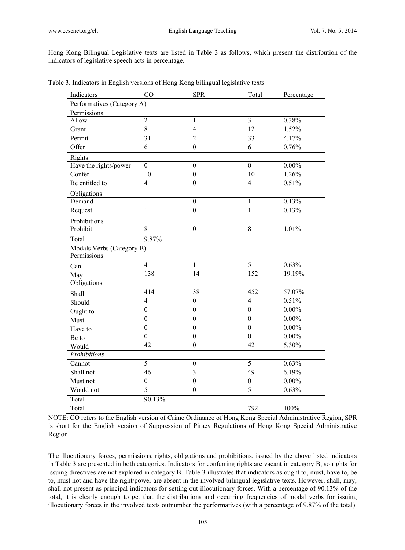Hong Kong Bilingual Legislative texts are listed in Table 3 as follows, which present the distribution of the indicators of legislative speech acts in percentage.

| Twore 5. Indicators in Engineer versions of Frong reong of miguat regional ve texts |     |       |            |
|-------------------------------------------------------------------------------------|-----|-------|------------|
| Indicators                                                                          | SPR | Total | Percentage |
| Performatives (Category A)                                                          |     |       |            |
| Permissions                                                                         |     |       |            |

| Permissions               |                  |                  |                  |          |
|---------------------------|------------------|------------------|------------------|----------|
| Allow                     | $\overline{2}$   | 1                | $\overline{3}$   | 0.38%    |
| Grant                     | 8                | $\overline{4}$   | 12               | 1.52%    |
| Permit                    | 31               | $\overline{2}$   | 33               | 4.17%    |
| Offer                     | 6                | $\boldsymbol{0}$ | 6                | 0.76%    |
| Rights                    |                  |                  |                  |          |
| Have the rights/power     | $\boldsymbol{0}$ | $\boldsymbol{0}$ | $\boldsymbol{0}$ | $0.00\%$ |
| Confer                    | 10               | $\boldsymbol{0}$ | 10               | 1.26%    |
| Be entitled to            | $\overline{4}$   | $\theta$         | $\overline{4}$   | 0.51%    |
| Obligations               |                  |                  |                  |          |
| Demand                    | 1                | $\mathbf{0}$     | $\mathbf{1}$     | 0.13%    |
| Request                   | 1                | $\boldsymbol{0}$ | $\mathbf{1}$     | 0.13%    |
| Prohibitions              |                  |                  |                  |          |
| Prohibit                  | 8                | $\overline{0}$   | $\overline{8}$   | 1.01%    |
| Total                     | 9.87%            |                  |                  |          |
| Modals Verbs (Category B) |                  |                  |                  |          |
| Permissions               |                  |                  |                  |          |
| Can                       | $\overline{4}$   | $\mathbf{1}$     | 5                | 0.63%    |
| May                       | 138              | 14               | 152              | 19.19%   |
| Obligations               |                  |                  |                  |          |
| Shall                     | $\overline{414}$ | $\overline{38}$  | $\overline{452}$ | 57.07%   |
| Should                    | 4                | $\boldsymbol{0}$ | $\overline{4}$   | 0.51%    |
| Ought to                  | $\theta$         | $\boldsymbol{0}$ | $\boldsymbol{0}$ | $0.00\%$ |
| Must                      | $\theta$         | $\theta$         | $\theta$         | $0.00\%$ |
| Have to                   | $\mathbf{0}$     | 0                | $\theta$         | $0.00\%$ |
| Be to                     | $\theta$         | $\theta$         | $\theta$         | $0.00\%$ |
| Would                     | 42               | $\boldsymbol{0}$ | 42               | 5.30%    |
| Prohibitions              |                  |                  |                  |          |
| Cannot                    | 5                | $\boldsymbol{0}$ | 5                | 0.63%    |
| Shall not                 | 46               | 3                | 49               | 6.19%    |
| Must not                  | $\boldsymbol{0}$ | $\boldsymbol{0}$ | $\boldsymbol{0}$ | $0.00\%$ |
| Would not                 | 5                | $\boldsymbol{0}$ | 5                | 0.63%    |
| Total                     | 90.13%           |                  |                  |          |
| Total                     |                  |                  | 792              | 100%     |

Table 3. Indicators in English versions of Hong Kong bilingual legislative texts

NOTE: CO refers to the English version of Crime Ordinance of Hong Kong Special Administrative Region, SPR is short for the English version of Suppression of Piracy Regulations of Hong Kong Special Administrative Region.

The illocutionary forces, permissions, rights, obligations and prohibitions, issued by the above listed indicators in Table 3 are presented in both categories. Indicators for conferring rights are vacant in category B, so rights for issuing directives are not explored in category B. Table 3 illustrates that indicators as ought to, must, have to, be to, must not and have the right/power are absent in the involved bilingual legislative texts. However, shall, may, shall not present as principal indicators for setting out illocutionary forces. With a percentage of 90.13% of the total, it is clearly enough to get that the distributions and occurring frequencies of modal verbs for issuing illocutionary forces in the involved texts outnumber the performatives (with a percentage of 9.87% of the total).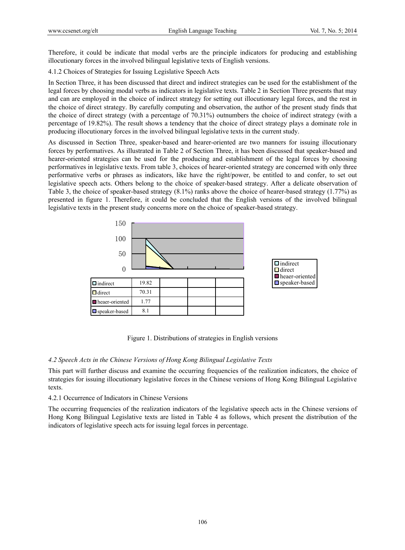Therefore, it could be indicate that modal verbs are the principle indicators for producing and establishing illocutionary forces in the involved bilingual legislative texts of English versions.

4.1.2 Choices of Strategies for Issuing Legislative Speech Acts

In Section Three, it has been discussed that direct and indirect strategies can be used for the establishment of the legal forces by choosing modal verbs as indicators in legislative texts. Table 2 in Section Three presents that may and can are employed in the choice of indirect strategy for setting out illocutionary legal forces, and the rest in the choice of direct strategy. By carefully computing and observation, the author of the present study finds that the choice of direct strategy (with a percentage of 70.31%) outnumbers the choice of indirect strategy (with a percentage of 19.82%). The result shows a tendency that the choice of direct strategy plays a dominate role in producing illocutionary forces in the involved bilingual legislative texts in the current study.

As discussed in Section Three, speaker-based and hearer-oriented are two manners for issuing illocutionary forces by performatives. As illustrated in Table 2 of Section Three, it has been discussed that speaker-based and hearer-oriented strategies can be used for the producing and establishment of the legal forces by choosing performatives in legislative texts. From table 3, choices of hearer-oriented strategy are concerned with only three performative verbs or phrases as indicators, like have the right/power, be entitled to and confer, to set out legislative speech acts. Others belong to the choice of speaker-based strategy. After a delicate observation of Table 3, the choice of speaker-based strategy (8.1%) ranks above the choice of hearer-based strategy (1.77%) as presented in figure 1. Therefore, it could be concluded that the English versions of the involved bilingual legislative texts in the present study concerns more on the choice of speaker-based strategy.



Figure 1. Distributions of strategies in English versions

#### *4.2 Speech Acts in the Chinese Versions of Hong Kong Bilingual Legislative Texts*

This part will further discuss and examine the occurring frequencies of the realization indicators, the choice of strategies for issuing illocutionary legislative forces in the Chinese versions of Hong Kong Bilingual Legislative texts.

#### 4.2.1 Occurrence of Indicators in Chinese Versions

The occurring frequencies of the realization indicators of the legislative speech acts in the Chinese versions of Hong Kong Bilingual Legislative texts are listed in Table 4 as follows, which present the distribution of the indicators of legislative speech acts for issuing legal forces in percentage.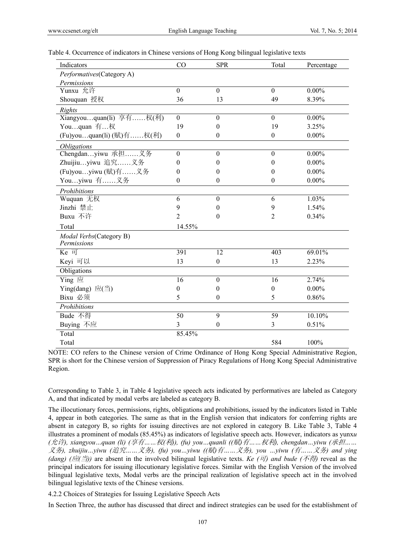| Table 4. Occurrence of indicators in Chinese versions of Hong Kong bilingual legislative texts |  |  |  |  |  |  |  |  |
|------------------------------------------------------------------------------------------------|--|--|--|--|--|--|--|--|
|------------------------------------------------------------------------------------------------|--|--|--|--|--|--|--|--|

| Indicators                | CO               | <b>SPR</b>       | Total            | Percentage |
|---------------------------|------------------|------------------|------------------|------------|
| Performatives(Category A) |                  |                  |                  |            |
| Permissions               |                  |                  |                  |            |
| Yunxu 允许                  | $\boldsymbol{0}$ | $\boldsymbol{0}$ | $\boldsymbol{0}$ | $0.00\%$   |
| Shouquan 授权               | 36               | 13               | 49               | 8.39%      |
| Rights                    |                  |                  |                  |            |
| Xiangyouquan(li) 享有权(利)   | $\theta$         | $\theta$         | $\theta$         | $0.00\%$   |
| Youquan 有权                | 19               | $\theta$         | 19               | 3.25%      |
| (Fu)youquan(li) (赋)有权(利)  | $\boldsymbol{0}$ | $\boldsymbol{0}$ | $\boldsymbol{0}$ | $0.00\%$   |
| <b>Obligations</b>        |                  |                  |                  |            |
| Chengdanyiwu 承担义务         | $\theta$         | $\theta$         | $\theta$         | $0.00\%$   |
| Zhuijiuyiwu 追究义务          | 0                | 0                | $\theta$         | $0.00\%$   |
| (Fu)youyiwu (赋)有义务        | 0                | 0                | $\theta$         | $0.00\%$   |
| Youyiwu 有义务               | $\theta$         | $\theta$         | $\theta$         | $0.00\%$   |
| Prohibitions              |                  |                  |                  |            |
| Wuquan 无权                 | 6                | $\theta$         | 6                | 1.03%      |
| Jinzhi 禁止                 | 9                | 0                | 9                | 1.54%      |
| Buxu 不许                   | $\overline{2}$   | $\theta$         | $\overline{2}$   | 0.34%      |
| Total                     | 14.55%           |                  |                  |            |
| Modal Verbs(Category B)   |                  |                  |                  |            |
| Permissions               |                  |                  |                  |            |
| Ke可                       | 391              | 12               | 403              | 69.01%     |
| Keyi 可以                   | 13               | $\mathbf{0}$     | 13               | 2.23%      |
| Obligations               |                  |                  |                  |            |
| Ying 应                    | 16               | $\theta$         | 16               | 2.74%      |
| Ying(dang) 应(当)           | $\boldsymbol{0}$ | $\theta$         | $\boldsymbol{0}$ | $0.00\%$   |
| Bixu 必须                   | 5                | $\theta$         | 5                | 0.86%      |
| Prohibitions              |                  |                  |                  |            |
| Bude 不得                   | $\overline{50}$  | 9                | $\overline{59}$  | 10.10%     |
| Buying 不应                 | 3                | $\theta$         | 3                | 0.51%      |
| Total                     | 85.45%           |                  |                  |            |
| Total                     |                  |                  | 584              | 100%       |

NOTE: CO refers to the Chinese version of Crime Ordinance of Hong Kong Special Administrative Region, SPR is short for the Chinese version of Suppression of Piracy Regulations of Hong Kong Special Administrative Region.

Corresponding to Table 3, in Table 4 legislative speech acts indicated by performatives are labeled as Category A, and that indicated by modal verbs are labeled as category B.

The illocutionary forces, permissions, rights, obligations and prohibitions, issued by the indicators listed in Table 4, appear in both categories. The same as that in the English version that indicators for conferring rights are absent in category B, so rights for issuing directives are not explored in category B. Like Table 3, Table 4 illustrates a prominent of modals (85.45%) as indicators of legislative speech acts. However, indicators as yunx*u (*允许*), xiangyou…quan (li) (*享有*……*权*(*利*)), (fu) you…quanli ((*赋*)*有*……*权利*), chengdan…yiwu (*承担*……* 义务*), zhuijiu…yiwu (*追究*……*义务*), (fu) you…yiwu ((*赋*)*有*……*义务*), you …yiwu (*有*……*义务*) and ying*  (dang) ( $\Delta$ ( $\frac{1}{2}$ )) are absent in the involved bilingual legislative texts. *Ke* (可) and bude (不得) reveal as the principal indicators for issuing illocutionary legislative forces. Similar with the English Version of the involved bilingual legislative texts, Modal verbs are the principal realization of legislative speech act in the involved bilingual legislative texts of the Chinese versions.

4.2.2 Choices of Strategies for Issuing Legislative Speech Acts

In Section Three, the author has discussed that direct and indirect strategies can be used for the establishment of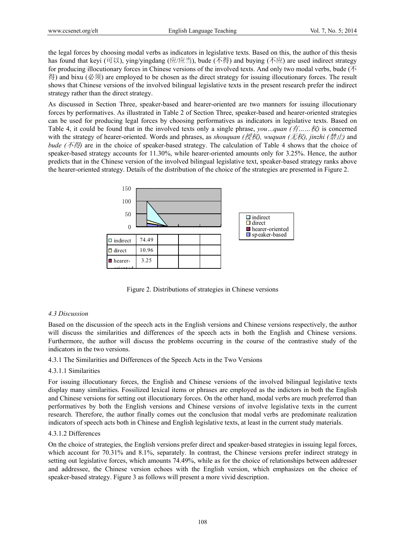the legal forces by choosing modal verbs as indicators in legislative texts. Based on this, the author of this thesis has found that keyi  $(\overline{\psi} \mathbf{X})$ , ying/yingdang  $(\underline{\psi} \mathbf{X} \mathbf{X})$ , bude  $(\overline{\mathbf{A}} \mathbf{X})$  and buying  $(\overline{\mathbf{A}} \mathbf{X})$  are used indirect strategy for producing illocutionary forces in Chinese versions of the involved texts. And only two modal verbs, bude  $(\bar{\wedge})$ 得) and bixu (必须) are employed to be chosen as the direct strategy for issuing illocutionary forces. The result shows that Chinese versions of the involved bilingual legislative texts in the present research prefer the indirect strategy rather than the direct strategy.

As discussed in Section Three, speaker-based and hearer-oriented are two manners for issuing illocutionary forces by performatives. As illustrated in Table 2 of Section Three, speaker-based and hearer-oriented strategies can be used for producing legal forces by choosing performatives as indicators in legislative texts. Based on Table 4, it could be found that in the involved texts only a single phrase,  $you...quan$  ( $\overline{f}$ *……tv*) is concerned with the strategy of hearer-oriented. Words and phrases, as *shouquan (*授权*), wuquan (*无权*), jinzhi (*禁止*)* and *bude (* $\bar{\wedge}\bar{\pmb{\#}}\bar{\pmb{\#}}$ *)* are in the choice of speaker-based strategy. The calculation of Table 4 shows that the choice of speaker-based strategy accounts for 11.30%, while hearer-oriented amounts only for 3.25%. Hence, the author predicts that in the Chinese version of the involved bilingual legislative text, speaker-based strategy ranks above the hearer-oriented strategy. Details of the distribution of the choice of the strategies are presented in Figure 2.



Figure 2. Distributions of strategies in Chinese versions

#### *4.3 Discussion*

Based on the discussion of the speech acts in the English versions and Chinese versions respectively, the author will discuss the similarities and differences of the speech acts in both the English and Chinese versions. Furthermore, the author will discuss the problems occurring in the course of the contrastive study of the indicators in the two versions.

4.3.1 The Similarities and Differences of the Speech Acts in the Two Versions

# 4.3.1.1 Similarities

For issuing illocutionary forces, the English and Chinese versions of the involved bilingual legislative texts display many similarities. Fossilized lexical items or phrases are employed as the indictors in both the English and Chinese versions for setting out illocutionary forces. On the other hand, modal verbs are much preferred than performatives by both the English versions and Chinese versions of involve legislative texts in the current research. Therefore, the author finally comes out the conclusion that modal verbs are predominate realization indicators of speech acts both in Chinese and English legislative texts, at least in the current study materials.

#### 4.3.1.2 Differences

On the choice of strategies, the English versions prefer direct and speaker-based strategies in issuing legal forces, which account for 70.31% and 8.1%, separately. In contrast, the Chinese versions prefer indirect strategy in setting out legislative forces, which amounts 74.49%, while as for the choice of relationships between addresser and addressee, the Chinese version echoes with the English version, which emphasizes on the choice of speaker-based strategy. Figure 3 as follows will present a more vivid description.